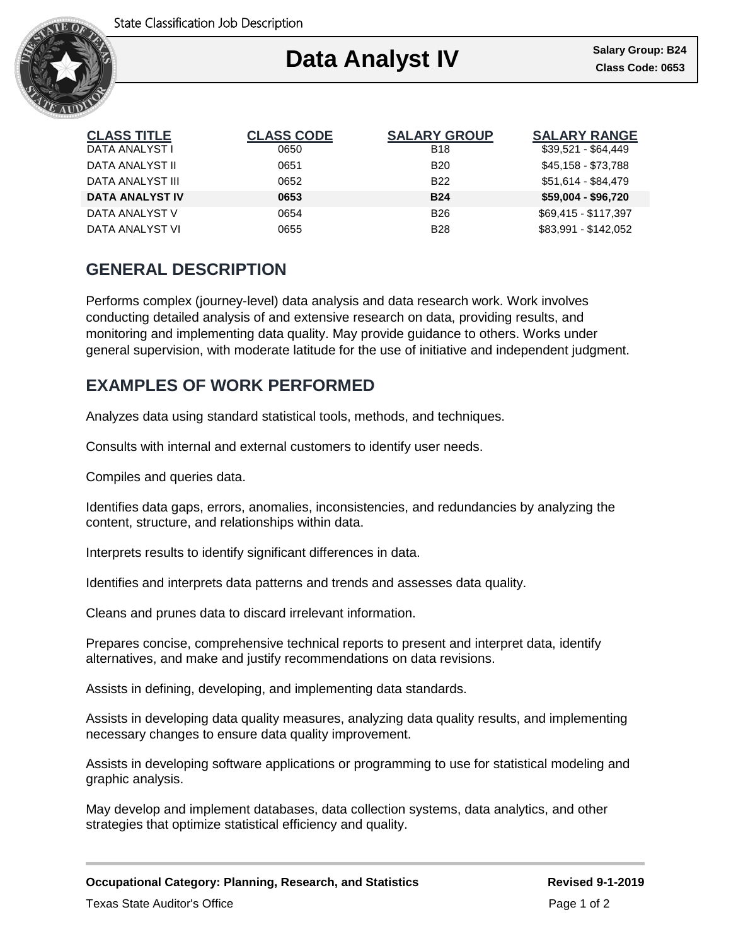

### Ι **Data Analyst IV**

| <b>CLASS TITLE</b>     | <b>CLASS CODE</b> | <b>SALARY GROUP</b> | <b>SALARY RANGE</b>  |
|------------------------|-------------------|---------------------|----------------------|
| DATA ANALYST I         | 0650              | <b>B18</b>          | $$39,521 - $64,449$  |
| DATA ANALYST II        | 0651              | <b>B20</b>          | \$45,158 - \$73,788  |
| DATA ANALYST III       | 0652              | <b>B22</b>          | \$51,614 - \$84,479  |
| <b>DATA ANALYST IV</b> | 0653              | <b>B24</b>          | $$59,004 - $96,720$  |
| DATA ANALYST V         | 0654              | <b>B26</b>          | \$69,415 - \$117,397 |
| DATA ANALYST VI        | 0655              | <b>B28</b>          | \$83,991 - \$142,052 |

# **GENERAL DESCRIPTION**

Performs complex (journey-level) data analysis and data research work. Work involves conducting detailed analysis of and extensive research on data, providing results, and monitoring and implementing data quality. May provide guidance to others. Works under general supervision, with moderate latitude for the use of initiative and independent judgment.

# **EXAMPLES OF WORK PERFORMED**

Analyzes data using standard statistical tools, methods, and techniques.

Consults with internal and external customers to identify user needs.

Compiles and queries data.

Identifies data gaps, errors, anomalies, inconsistencies, and redundancies by analyzing the content, structure, and relationships within data.

Interprets results to identify significant differences in data.

Identifies and interprets data patterns and trends and assesses data quality.

Cleans and prunes data to discard irrelevant information.

Prepares concise, comprehensive technical reports to present and interpret data, identify alternatives, and make and justify recommendations on data revisions.

Assists in defining, developing, and implementing data standards.

Assists in developing data quality measures, analyzing data quality results, and implementing necessary changes to ensure data quality improvement.

Assists in developing software applications or programming to use for statistical modeling and graphic analysis.

May develop and implement databases, data collection systems, data analytics, and other strategies that optimize statistical efficiency and quality.